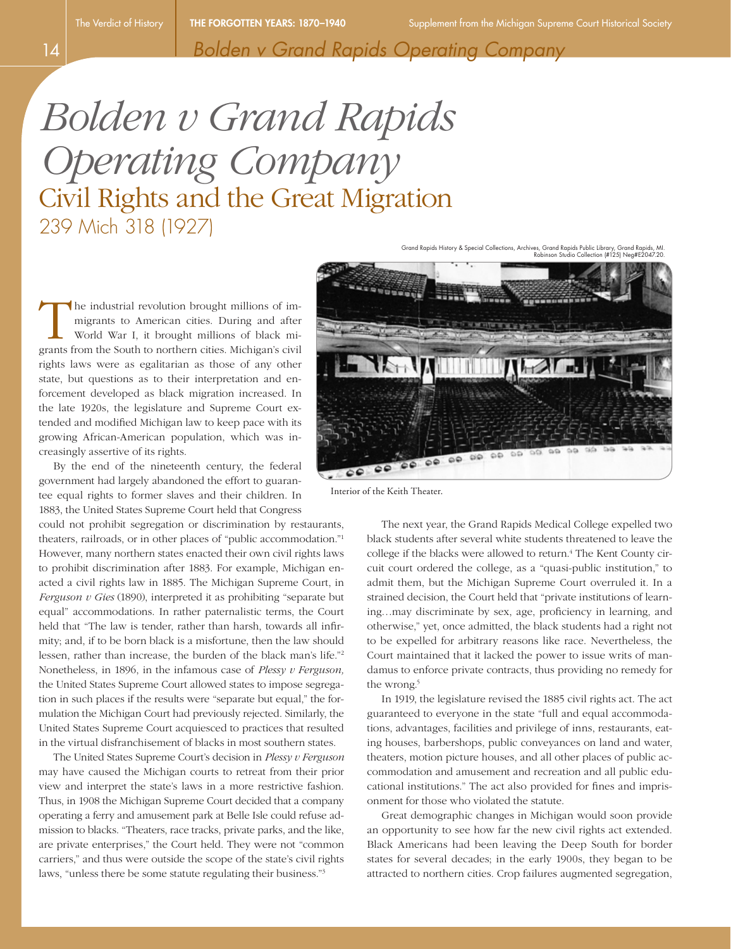*Bolden v Grand Rapids Operating Company*

## *Bolden v Grand Rapids Operating Company* Civil Rights and the Great Migration 239 Mich 318 (1927)

 $\circ \circ$ 

The industrial revolution brought millions of im-<br>migrants to American cities. During and after<br>world War I, it brought millions of black mi-<br>grants from the South to porthern cities. Michigan's civil migrants to American cities. During and after World War I, it brought millions of black migrants from the South to northern cities. Michigan's civil rights laws were as egalitarian as those of any other state, but questions as to their interpretation and enforcement developed as black migration increased. In the late 1920s, the legislature and Supreme Court extended and modified Michigan law to keep pace with its growing African-American population, which was increasingly assertive of its rights.

By the end of the nineteenth century, the federal government had largely abandoned the effort to guarantee equal rights to former slaves and their children. In 1883, the United States Supreme Court held that Congress

could not prohibit segregation or discrimination by restaurants, theaters, railroads, or in other places of "public accommodation."1 However, many northern states enacted their own civil rights laws to prohibit discrimination after 1883. For example, Michigan enacted a civil rights law in 1885. The Michigan Supreme Court, in *Ferguson v Gies* (1890), interpreted it as prohibiting "separate but equal" accommodations. In rather paternalistic terms, the Court held that "The law is tender, rather than harsh, towards all infirmity; and, if to be born black is a misfortune, then the law should lessen, rather than increase, the burden of the black man's life."2 Nonetheless, in 1896, in the infamous case of *Plessy v Ferguson,* the United States Supreme Court allowed states to impose segregation in such places if the results were "separate but equal," the formulation the Michigan Court had previously rejected. Similarly, the United States Supreme Court acquiesced to practices that resulted in the virtual disfranchisement of blacks in most southern states.

The United States Supreme Court's decision in *Plessy v Ferguson*  may have caused the Michigan courts to retreat from their prior view and interpret the state's laws in a more restrictive fashion. Thus, in 1908 the Michigan Supreme Court decided that a company operating a ferry and amusement park at Belle Isle could refuse admission to blacks. "Theaters, race tracks, private parks, and the like, are private enterprises," the Court held. They were not "common carriers," and thus were outside the scope of the state's civil rights laws, "unless there be some statute regulating their business."3

Interior of the Keith Theater.

The next year, the Grand Rapids Medical College expelled two black students after several white students threatened to leave the college if the blacks were allowed to return.<sup>4</sup> The Kent County circuit court ordered the college, as a "quasi-public institution," to admit them, but the Michigan Supreme Court overruled it. In a strained decision, the Court held that "private institutions of learning…may discriminate by sex, age, proficiency in learning, and otherwise," yet, once admitted, the black students had a right not to be expelled for arbitrary reasons like race. Nevertheless, the Court maintained that it lacked the power to issue writs of mandamus to enforce private contracts, thus providing no remedy for the wrong.<sup>5</sup>

In 1919, the legislature revised the 1885 civil rights act. The act guaranteed to everyone in the state "full and equal accommodations, advantages, facilities and privilege of inns, restaurants, eating houses, barbershops, public conveyances on land and water, theaters, motion picture houses, and all other places of public accommodation and amusement and recreation and all public educational institutions." The act also provided for fines and imprisonment for those who violated the statute.

Great demographic changes in Michigan would soon provide an opportunity to see how far the new civil rights act extended. Black Americans had been leaving the Deep South for border states for several decades; in the early 1900s, they began to be attracted to northern cities. Crop failures augmented segregation,

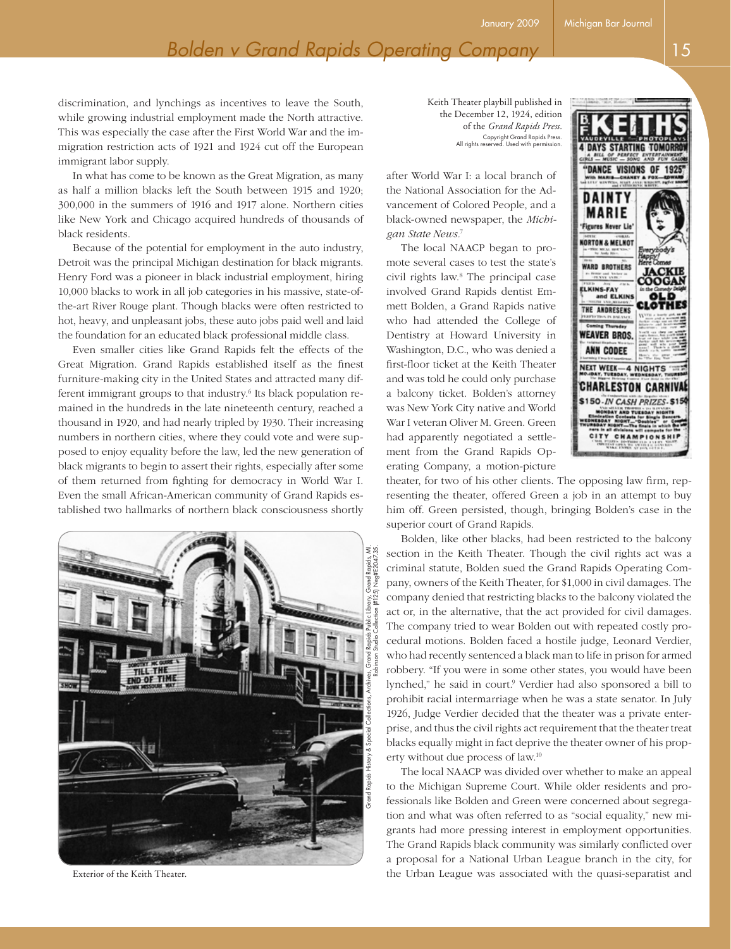discrimination, and lynchings as incentives to leave the South, while growing industrial employment made the North attractive. This was especially the case after the First World War and the immigration restriction acts of 1921 and 1924 cut off the European immigrant labor supply.

In what has come to be known as the Great Migration, as many as half a million blacks left the South between 1915 and 1920; 300,000 in the summers of 1916 and 1917 alone. Northern cities like New York and Chicago acquired hundreds of thousands of black residents.

Because of the potential for employment in the auto industry, Detroit was the principal Michigan destination for black migrants. Henry Ford was a pioneer in black industrial employment, hiring 10,000 blacks to work in all job categories in his massive, state-ofthe-art River Rouge plant. Though blacks were often restricted to hot, heavy, and unpleasant jobs, these auto jobs paid well and laid the foundation for an educated black professional middle class.

Even smaller cities like Grand Rapids felt the effects of the Great Migration. Grand Rapids established itself as the finest furniture-making city in the United States and attracted many different immigrant groups to that industry.<sup>6</sup> Its black population remained in the hundreds in the late nineteenth century, reached a thousand in 1920, and had nearly tripled by 1930. Their increasing numbers in northern cities, where they could vote and were supposed to enjoy equality before the law, led the new generation of black migrants to begin to assert their rights, especially after some of them returned from fighting for democracy in World War I. Even the small African-American community of Grand Rapids established two hallmarks of northern black consciousness shortly



Exterior of the Keith Theater.

Keith Theater playbill published in the December 12, 1924, edition of the *Grand Rapids Press.* Copyright Grand Rapids Press. All rights reserved. Used with permission.

after World War I: a local branch of the National Association for the Advancement of Colored People, and a black-owned newspaper, the *Michigan State News.*<sup>7</sup>

The local NAACP began to promote several cases to test the state's civil rights law.8 The principal case involved Grand Rapids dentist Emmett Bolden, a Grand Rapids native who had attended the College of Dentistry at Howard University in Washington, D.C., who was denied a first-floor ticket at the Keith Theater and was told he could only purchase a balcony ticket. Bolden's attorney was New York City native and World War I veteran Oliver M. Green. Green had apparently negotiated a settlement from the Grand Rapids Operating Company, a motion-picture



theater, for two of his other clients. The opposing law firm, representing the theater, offered Green a job in an attempt to buy him off. Green persisted, though, bringing Bolden's case in the superior court of Grand Rapids.

Bolden, like other blacks, had been restricted to the balcony section in the Keith Theater. Though the civil rights act was a criminal statute, Bolden sued the Grand Rapids Operating Company, owners of the Keith Theater, for \$1,000 in civil damages. The company denied that restricting blacks to the balcony violated the act or, in the alternative, that the act provided for civil damages. The company tried to wear Bolden out with repeated costly procedural motions. Bolden faced a hostile judge, Leonard Verdier, who had recently sentenced a black man to life in prison for armed robbery. "If you were in some other states, you would have been lynched," he said in court.<sup>9</sup> Verdier had also sponsored a bill to prohibit racial intermarriage when he was a state senator. In July 1926, Judge Verdier decided that the theater was a private enterprise, and thus the civil rights act requirement that the theater treat blacks equally might in fact deprive the theater owner of his property without due process of law.10

The local NAACP was divided over whether to make an appeal to the Michigan Supreme Court. While older residents and professionals like Bolden and Green were concerned about segregation and what was often referred to as "social equality," new migrants had more pressing interest in employment opportunities. The Grand Rapids black community was similarly conflicted over a proposal for a National Urban League branch in the city, for the Urban League was associated with the quasi-separatist and